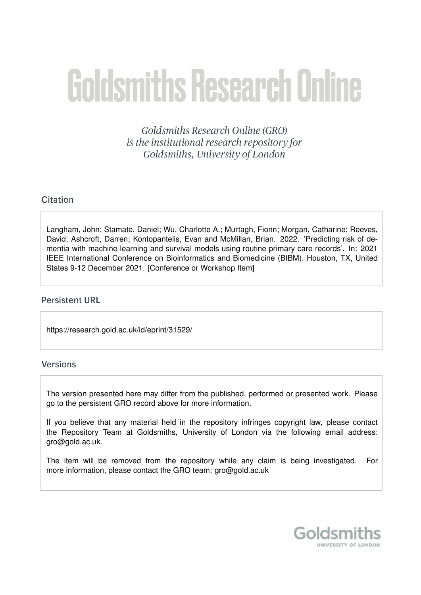# **Goldsmiths Research Online**

Goldsmiths Research Online (GRO) is the institutional research repository for Goldsmiths, University of London

# Citation

Langham, John; Stamate, Daniel; Wu, Charlotte A.; Murtagh, Fionn; Morgan, Catharine; Reeves, David; Ashcroft, Darren; Kontopantelis, Evan and McMillan, Brian. 2022. 'Predicting risk of dementia with machine learning and survival models using routine primary care records'. In: 2021 IEEE International Conference on Bioinformatics and Biomedicine (BIBM). Houston, TX, United States 9-12 December 2021. [Conference or Workshop Item]

## **Persistent URL**

https://research.gold.ac.uk/id/eprint/31529/

### **Versions**

The version presented here may differ from the published, performed or presented work. Please go to the persistent GRO record above for more information.

If you believe that any material held in the repository infringes copyright law, please contact the Repository Team at Goldsmiths, University of London via the following email address: gro@gold.ac.uk.

The item will be removed from the repository while any claim is being investigated. For more information, please contact the GRO team: gro@gold.ac.uk

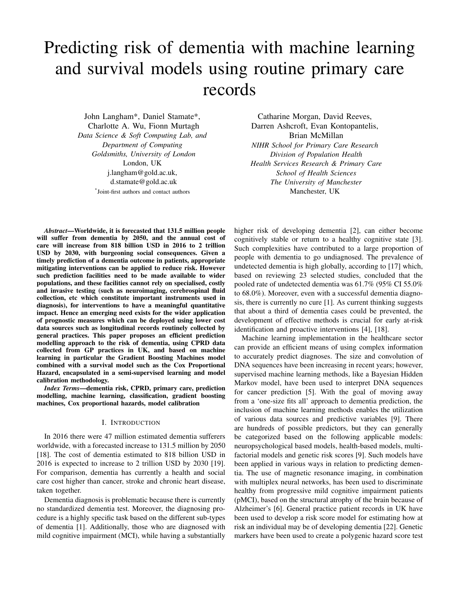# Predicting risk of dementia with machine learning and survival models using routine primary care records

John Langham\*, Daniel Stamate\*, Charlotte A. Wu, Fionn Murtagh *Data Science & Soft Computing Lab, and Department of Computing Goldsmiths, University of London* London, UK j.langham@gold.ac.uk, d.stamate@gold.ac.uk

\* Joint-first authors and contact authors

Catharine Morgan, David Reeves, Darren Ashcroft, Evan Kontopantelis, Brian McMillan *NIHR School for Primary Care Research Division of Population Health Health Services Research & Primary Care School of Health Sciences The University of Manchester* Manchester, UK

*Abstract*—Worldwide, it is forecasted that 131.5 million people will suffer from dementia by 2050, and the annual cost of care will increase from 818 billion USD in 2016 to 2 trillion USD by 2030, with burgeoning social consequences. Given a timely prediction of a dementia outcome in patients, appropriate mitigating interventions can be applied to reduce risk. However such prediction facilities need to be made available to wider populations, and these facilities cannot rely on specialised, costly and invasive testing (such as neuroimaging, cerebrospinal fluid collection, etc which constitute important instruments used in diagnosis), for interventions to have a meaningful quantitative impact. Hence an emerging need exists for the wider application of prognostic measures which can be deployed using lower cost data sources such as longitudinal records routinely collected by general practices. This paper proposes an efficient prediction modelling approach to the risk of dementia, using CPRD data collected from GP practices in UK, and based on machine learning in particular the Gradient Boosting Machines model combined with a survival model such as the Cox Proportional Hazard, encapsulated in a semi-supervised learning and model calibration methodology.

*Index Terms*—dementia risk, CPRD, primary care, prediction modelling, machine learning, classification, gradient boosting machines, Cox proportional hazards, model calibration

#### I. INTRODUCTION

In 2016 there were 47 million estimated dementia sufferers worldwide, with a forecasted increase to 131.5 million by 2050 [18]. The cost of dementia estimated to 818 billion USD in 2016 is expected to increase to 2 trillion USD by 2030 [19]. For comparison, dementia has currently a health and social care cost higher than cancer, stroke and chronic heart disease, taken together.

Dementia diagnosis is problematic because there is currently no standardized dementia test. Moreover, the diagnosing procedure is a highly specific task based on the different sub-types of dementia [1]. Additionally, those who are diagnosed with mild cognitive impairment (MCI), while having a substantially higher risk of developing dementia [2], can either become cognitively stable or return to a healthy cognitive state [3]. Such complexities have contributed to a large proportion of people with dementia to go undiagnosed. The prevalence of undetected dementia is high globally, according to [17] which, based on reviewing 23 selected studies, concluded that the pooled rate of undetected dementia was 61.7% (95% CI 55.0% to 68.0%). Moreover, even with a successful dementia diagnosis, there is currently no cure [1]. As current thinking suggests that about a third of dementia cases could be prevented, the development of effective methods is crucial for early at-risk identification and proactive interventions [4], [18].

Machine learning implementation in the healthcare sector can provide an efficient means of using complex information to accurately predict diagnoses. The size and convolution of DNA sequences have been increasing in recent years; however, supervised machine learning methods, like a Bayesian Hidden Markov model, have been used to interpret DNA sequences for cancer prediction [5]. With the goal of moving away from a 'one-size fits all' approach to dementia prediction, the inclusion of machine learning methods enables the utilization of various data sources and predictive variables [9]. There are hundreds of possible predictors, but they can generally be categorized based on the following applicable models: neuropsychological based models, health-based models, multifactorial models and genetic risk scores [9]. Such models have been applied in various ways in relation to predicting dementia. The use of magnetic resonance imaging, in combination with multiplex neural networks, has been used to discriminate healthy from progressive mild cognitive impairment patients (pMCI), based on the structural atrophy of the brain because of Alzheimer's [6]. General practice patient records in UK have been used to develop a risk score model for estimating how at risk an individual may be of developing dementia [22]. Genetic markers have been used to create a polygenic hazard score test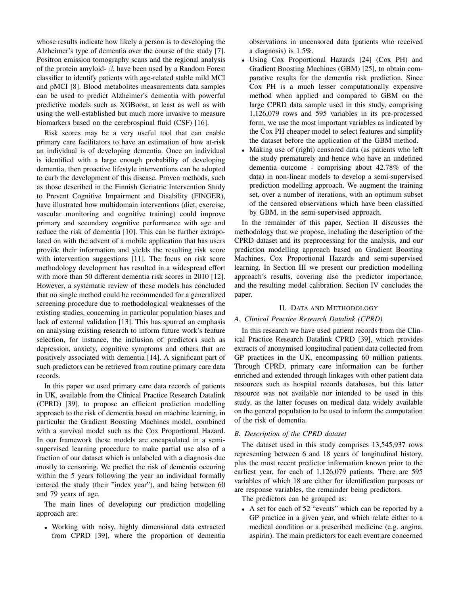whose results indicate how likely a person is to developing the Alzheimer's type of dementia over the course of the study [7]. Positron emission tomography scans and the regional analysis of the protein amyloid-  $\beta$ , have been used by a Random Forest classifier to identify patients with age-related stable mild MCI and pMCI [8]. Blood metabolites measurements data samples can be used to predict Alzheimer's dementia with powerful predictive models such as XGBoost, at least as well as with using the well-established but much more invasive to measure biomarkers based on the cerebrospinal fluid (CSF) [16].

Risk scores may be a very useful tool that can enable primary care facilitators to have an estimation of how at-risk an individual is of developing dementia. Once an individual is identified with a large enough probability of developing dementia, then proactive lifestyle interventions can be adopted to curb the development of this disease. Proven methods, such as those described in the Finnish Geriatric Intervention Study to Prevent Cognitive Impairment and Disability (FINGER), have illustrated how multidomain interventions (diet, exercise, vascular monitoring and cognitive training) could improve primary and secondary cognitive performance with age and reduce the risk of dementia [10]. This can be further extrapolated on with the advent of a mobile application that has users provide their information and yields the resulting risk score with intervention suggestions [11]. The focus on risk score methodology development has resulted in a widespread effort with more than 50 different dementia risk scores in 2010 [12]. However, a systematic review of these models has concluded that no single method could be recommended for a generalized screening procedure due to methodological weaknesses of the existing studies, concerning in particular population biases and lack of external validation [13]. This has spurred an emphasis on analysing existing research to inform future work's feature selection, for instance, the inclusion of predictors such as depression, anxiety, cognitive symptoms and others that are positively associated with dementia [14]. A significant part of such predictors can be retrieved from routine primary care data records.

In this paper we used primary care data records of patients in UK, available from the Clinical Practice Research Datalink (CPRD) [39], to propose an efficient prediction modelling approach to the risk of dementia based on machine learning, in particular the Gradient Boosting Machines model, combined with a survival model such as the Cox Proportional Hazard. In our framework these models are encapsulated in a semisupervised learning procedure to make partial use also of a fraction of our dataset which is unlabeled with a diagnosis due mostly to censoring. We predict the risk of dementia occuring within the 5 years following the year an individual formally entered the study (their "index year"), and being between 60 and 79 years of age.

The main lines of developing our prediction modelling approach are:

• Working with noisy, highly dimensional data extracted from CPRD [39], where the proportion of dementia observations in uncensored data (patients who received a diagnosis) is 1.5%.

- Using Cox Proportional Hazards [24] (Cox PH) and Gradient Boosting Machines (GBM) [25], to obtain comparative results for the dementia risk prediction. Since Cox PH is a much lesser computationally expensive method when applied and compared to GBM on the large CPRD data sample used in this study, comprising 1,126,079 rows and 595 variables in its pre-processed form, we use the most important variables as indicated by the Cox PH cheaper model to select features and simplify the dataset before the application of the GBM method.
- Making use of (right) censored data (as patients who left the study prematurely and hence who have an undefined dementia outcome - comprising about 42.78% of the data) in non-linear models to develop a semi-supervised prediction modelling approach. We augment the training set, over a number of iterations, with an optimum subset of the censored observations which have been classified by GBM, in the semi-supervised approach.

In the remainder of this paper, Section II discusses the methodology that we propose, including the description of the CPRD dataset and its preprocessing for the analysis, and our prediction modelling approach based on Gradient Boosting Machines, Cox Proportional Hazards and semi-supervised learning. In Section III we present our prediction modelling approach's results, covering also the predictor importance, and the resulting model calibration. Section IV concludes the paper.

#### II. DATA AND METHODOLOGY

#### *A. Clinical Practice Research Datalink (CPRD)*

In this research we have used patient records from the Clinical Practice Research Datalink CPRD [39], which provides extracts of anonymised longitudinal patient data collected from GP practices in the UK, encompassing 60 million patients. Through CPRD, primary care information can be further enriched and extended through linkages with other patient data resources such as hospital records databases, but this latter resource was not available nor intended to be used in this study, as the latter focuses on medical data widely available on the general population to be used to inform the computation of the risk of dementia.

#### *B. Description of the CPRD dataset*

The dataset used in this study comprises 13,545,937 rows representing between 6 and 18 years of longitudinal history, plus the most recent predictor information known prior to the earliest year, for each of 1,126,079 patients. There are 595 variables of which 18 are either for identification purposes or are response variables, the remainder being predictors.

The predictors can be grouped as:

• A set for each of 52 "events" which can be reported by a GP practice in a given year, and which relate either to a medical condition or a prescribed medicine (e.g. angina, aspirin). The main predictors for each event are concerned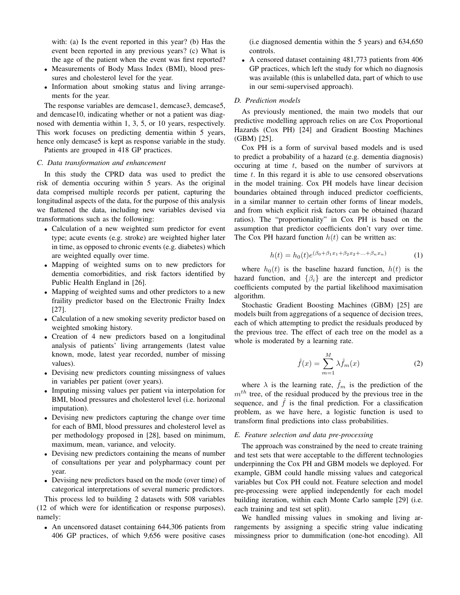with: (a) Is the event reported in this year? (b) Has the event been reported in any previous years? (c) What is the age of the patient when the event was first reported?

- Measurements of Body Mass Index (BMI), blood pressures and cholesterol level for the year.
- Information about smoking status and living arrangements for the year.

The response variables are demcase1, demcase3, demcase5, and demcase10, indicating whether or not a patient was diagnosed with dementia within 1, 3, 5, or 10 years, respectively. This work focuses on predicting dementia within 5 years, hence only demcase5 is kept as response variable in the study.

Patients are grouped in 418 GP practices.

#### *C. Data transformation and enhancement*

In this study the CPRD data was used to predict the risk of dementia occuring within 5 years. As the original data comprised multiple records per patient, capturing the longitudinal aspects of the data, for the purpose of this analysis we flattened the data, including new variables devised via transformations such as the following:

- Calculation of a new weighted sum predictor for event type; acute events (e.g. stroke) are weighted higher later in time, as opposed to chronic events (e.g. diabetes) which are weighted equally over time.
- Mapping of weighted sums on to new predictors for dementia comorbidities, and risk factors identified by Public Health England in [26].
- Mapping of weighted sums and other predictors to a new fraility predictor based on the Electronic Frailty Index [27].
- Calculation of a new smoking severity predictor based on weighted smoking history.
- Creation of 4 new predictors based on a longitudinal analysis of patients' living arrangements (latest value known, mode, latest year recorded, number of missing values).
- Devising new predictors counting missingness of values in variables per patient (over years).
- Imputing missing values per patient via interpolation for BMI, blood pressures and cholesterol level (i.e. horizonal imputation).
- Devising new predictors capturing the change over time for each of BMI, blood pressures and cholesterol level as per methodology proposed in [28], based on minimum, maximum, mean, variance, and velocity.
- Devising new predictors containing the means of number of consultations per year and polypharmacy count per year.
- Devising new predictors based on the mode (over time) of categorical interpretations of several numeric predictors.

This process led to building 2 datasets with 508 variables (12 of which were for identification or response purposes), namely:

• An uncensored dataset containing 644,306 patients from 406 GP practices, of which 9,656 were positive cases (i.e diagnosed dementia within the 5 years) and 634,650 controls.

• A censored dataset containing 481,773 patients from 406 GP practices, which left the study for which no diagnosis was available (this is unlabelled data, part of which to use in our semi-supervised approach).

#### *D. Prediction models*

As previously mentioned, the main two models that our predictive modelling approach relies on are Cox Proportional Hazards (Cox PH) [24] and Gradient Boosting Machines (GBM) [25].

Cox PH is a form of survival based models and is used to predict a probability of a hazard (e.g. dementia diagnosis) occuring at time  $t$ , based on the number of survivors at time  $t$ . In this regard it is able to use censored observations in the model training. Cox PH models have linear decision boundaries obtained through induced predictor coefficients, in a similar manner to certain other forms of linear models, and from which explicit risk factors can be obtained (hazard ratios). The "proportionality" in Cox PH is based on the assumption that predictor coefficients don't vary over time. The Cox PH hazard function  $h(t)$  can be written as:

$$
h(t) = h_0(t)e^{(\beta_0 + \beta_1 x_1 + \beta_2 x_2 + \dots + \beta_n x_n)}
$$
(1)

where  $h_0(t)$  is the baseline hazard function,  $h(t)$  is the hazard function, and  $\{\beta_i\}$  are the intercept and predictor coefficients computed by the partial likelihood maximisation algorithm.

Stochastic Gradient Boosting Machines (GBM) [25] are models built from aggregations of a sequence of decision trees, each of which attempting to predict the residuals produced by the previous tree. The effect of each tree on the model as a whole is moderated by a learning rate.

$$
\hat{f}(x) = \sum_{m=1}^{M} \lambda \hat{f}_m(x) \tag{2}
$$

where  $\lambda$  is the learning rate,  $\hat{f}_m$  is the prediction of the  $m<sup>th</sup>$  tree, of the residual produced by the previous tree in the sequence, and  $\hat{f}$  is the final prediction. For a classification problem, as we have here, a logistic function is used to transform final predictions into class probabilities.

#### *E. Feature selection and data pre-processing*

The approach was constrained by the need to create training and test sets that were acceptable to the different technologies underpinning the Cox PH and GBM models we deployed. For example, GBM could handle missing values and categorical variables but Cox PH could not. Feature selection and model pre-processing were applied independently for each model building iteration, within each Monte Carlo sample [29] (i.e. each training and test set split).

We handled missing values in smoking and living arrangements by assigning a specific string value indicating missingness prior to dummification (one-hot encoding). All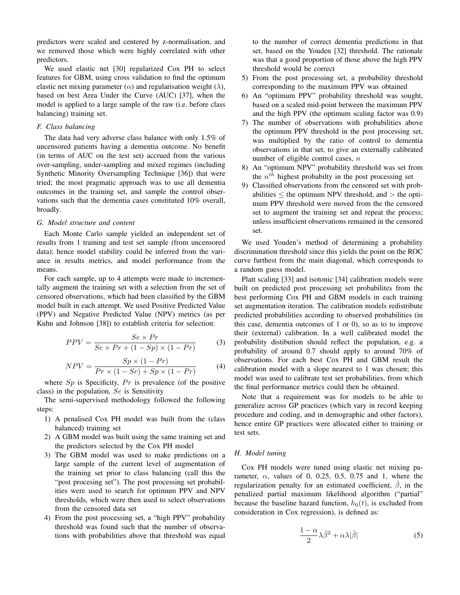predictors were scaled and centered by z-normalisation, and we removed those which were highly correlated with other predictors.

We used elastic net [30] regularized Cox PH to select features for GBM, using cross validation to find the optimum elastic net mixing parameter ( $\alpha$ ) and regularisation weight ( $\lambda$ ), based on best Area Under the Curve (AUC) [37], when the model is applied to a large sample of the raw (i.e. before class balancing) training set.

#### *F. Class balancing*

The data had very adverse class balance with only 1.5% of uncensored patients having a dementia outcome. No benefit (in terms of AUC on the test set) accrued from the various over-sampling, under-sampling and mixed regimes (including Synthetic Minority Oversampling Technique [36]) that were tried; the most pragmatic approach was to use all dementia outcomes in the training set, and sample the control observations such that the dementia cases constituted 10% overall, broadly.

#### *G. Model structure and content*

Each Monte Carlo sample yielded an independent set of results from 1 training and test set sample (from uncensored data); hence model stability could be inferred from the variance in results metrics, and model performance from the means.

For each sample, up to 4 attempts were made to incrementally augment the training set with a selection from the set of censored observations, which had been classified by the GBM model built in each attempt. We used Positive Predicted Value (PPV) and Negative Predicted Value (NPV) metrics (as per Kuhn and Johnson [38]) to establish criteria for selection:

$$
PPV = \frac{Se \times Pr}{Se \times Pr + (1 - Sp) \times (1 - Pr)}
$$
 (3)

$$
NPV = \frac{Sp \times (1 - Pr)}{Pr \times (1 - Se) + Sp \times (1 - Pr)}
$$
(4)

where  $Sp$  is Specificity,  $Pr$  is prevalence (of the positive class) in the population, Se is Sensitivity

The semi-supervised methodology followed the following steps:

- 1) A penalised Cox PH model was built from the (class balanced) training set
- 2) A GBM model was built using the same training set and the predictors selected by the Cox PH model
- 3) The GBM model was used to make predictions on a large sample of the current level of augmentation of the training set prior to class balancing (call this the "post procesing set"). The post processing set probabilities were used to search for optimum PPV and NPV thresholds, which were then used to select observations from the censored data set
- 4) From the post processing set, a "high PPV" probability threshold was found such that the number of observations with probabilities above that threshold was equal

to the number of correct dementia predictions in that set, based on the Youden [32] threshold. The rationale was that a good proportion of those above the high PPV threshold would be correct

- 5) From the post processing set, a probability threshold corresponding to the maximum PPV was obtained
- 6) An "optimum PPV" probability threshold was sought, based on a scaled mid-point between the maximum PPV and the high PPV (the optimum scaling factor was 0.9)
- 7) The number of observations with probabilities above the optimum PPV threshold in the post processing set, was multiplied by the ratio of control to dementia observations in that set, to give an externally calibrated number of eligible control cases,  $n$
- 8) An "optimum NPV" probability threshold was set from the  $n^{th}$  highest probabilty in the post processing set
- 9) Classified observations from the censored set with probabilities  $\leq$  the optimum NPV threshold, and  $>$  the optimum PPV threshold were moved from the the censored set to augment the training set and repeat the process; unless insufficient observations remained in the censored set.

We used Youden's method of determining a probability discrimination threshold since this yields the point on the ROC curve furthest from the main diagonal, which corresponds to a random guess model.

Platt scaling [33] and isotonic [34] calibration models were built on predicted post processing set probabilites from the best performing Cox PH and GBM models in each training set augmentation iteration. The calibration models redistribute predicted probabilities according to observed probabilities (in this case, dementia outcomes of 1 or 0), so as to to improve their (external) calibration. In a well calibrated model the probability distibution should reflect the population, e.g. a probability of around 0.7 should apply to around 70% of observations. For each best Cox PH and GBM result the calibration model with a slope nearest to 1 was chosen; this model was used to calibrate test set probabilities, from which the final performance metrics could then be obtained.

Note that a requirement was for models to be able to generalize across GP practices (which vary in record keeping procedure and coding, and in demographic and other factors), hence entire GP practices were allocated either to training or test sets.

#### *H. Model tuning*

Cox PH models were tuned using elastic net mixing parameter,  $\alpha$ , values of 0, 0.25, 0.5, 0.75 and 1, where the regularization penalty for an estimated coefficient,  $\beta$ , in the penalized partial maximum likelihood algorithm ("partial" because the baseline hazard function,  $h_0(t)$ , is excluded from consideration in Cox regression), is defined as:

$$
\frac{1-\alpha}{2}\lambda\hat{\beta}^2 + \alpha\lambda|\hat{\beta}| \tag{5}
$$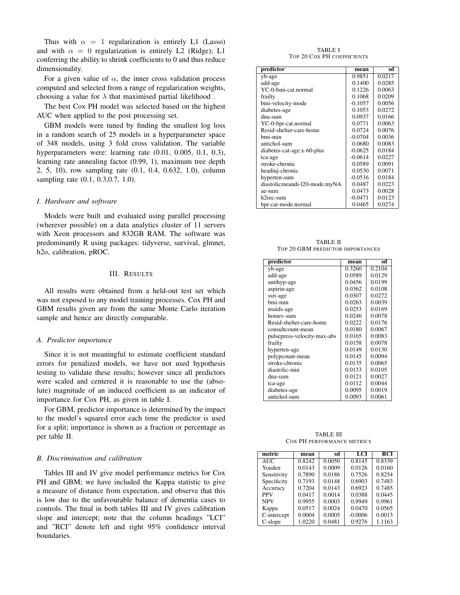Thus with  $\alpha = 1$  regularization is entirely L1 (Lasso) and with  $\alpha = 0$  regularization is entirely L2 (Ridge); L1 conferring the ability to shrink coefficients to 0 and thus reduce dimensionality.

For a given value of  $\alpha$ , the inner cross validation process computed and selected from a range of regularization weights, choosing a value for  $\lambda$  that maximised partial likelihood.

The best Cox PH model was selected based on the highest AUC when applied to the post processing set.

GBM models were tuned by finding the smallest log loss in a random search of 25 models in a hyperparameter space of 348 models, using 3 fold cross validation. The variable hyperparameters were: learning rate  $(0.01, 0.005, 0.1, 0.3)$ , learning rate annealing factor (0.99, 1), maximum tree depth 2, 5, 10), row sampling rate (0.1, 0.4, 0.632, 1.0), column sampling rate (0.1, 0.3,0.7, 1.0).

#### *I. Hardware and software*

Models were built and evaluated using parallel processing (wherever possible) on a data analytics cluster of 11 servers with Xeon processors and 832GB RAM. The software was predominantly R using packages: tidyverse, survival, glmnet, h2o, calibration, pROC.

#### III. RESULTS

All results were obtained from a held-out test set which was not exposed to any model training processes. Cox PH and GBM results given are from the same Monte Carlo iteration sample and hence are directly comparable.

#### *A. Predictor importance*

Since it is not meaningful to estimate coefficient standard errors for penalized models, we have not used hypothesis testing to validate these results; however since all predictors were scaled and centered it is reasonable to use the (absolute) magnitude of an induced coefficient as an indicator of importance for Cox PH, as given in table I.

For GBM, predictor importance is determined by the impact to the model's squared error each time the predictor is used for a split; importance is shown as a fraction or percentage as per table II.

#### *B. Discrimination and calibration*

Tables III and IV give model performance metrics for Cox PH and GBM; we have included the Kappa statistic to give a measure of distance from expectation, and observe that this is low due to the unfavourable balance of dementia cases to controls. The final in both tables III and IV gives calibration slope and intercept; note that the column headings "LCI" and "RCI" denote left and right 95% confidence interval boundaries.

TABLE I TOP 20 COX PH COEFFICIENTS

| predictor                     | mean      | sd     |
|-------------------------------|-----------|--------|
| yb-age                        | 0.9851    | 0.0217 |
| add-age                       | 0.1400    | 0.0285 |
| YC-0-bmi-cat.normal           | 0.1226    | 0.0063 |
| frailty                       | 0.1068    | 0.0209 |
| bmi-velocity-mode             | $-0.1057$ | 0.0056 |
| diabetes-age                  | 0.1053    | 0.0272 |
| dna-sum                       | 0.0937    | 0.0166 |
| YC-0-bpr-cat.normal           | 0.0771    | 0.0063 |
| Resid-shelter-care-home       | 0.0724    | 0.0076 |
| bmi-min                       | $-0.0704$ | 0.0036 |
| antichol-sum                  | 0.0680    | 0.0083 |
| diabetes-cat-age.x-60-plus    | $-0.0625$ | 0.0184 |
| tca-age                       | $-0.0614$ | 0.0227 |
| stroke-chronic                | 0.0589    | 0.0091 |
| headinj-chronic               | 0.0530    | 0.0071 |
| hyperten-sum                  | $-0.0516$ | 0.0184 |
| diastolicmeandi-120-mode.myNA | 0.0487    | 0.0223 |
| ae-sum                        | 0.0473    | 0.0028 |
| h2rec-sum                     | $-0.0471$ | 0.0123 |
| bpr-cat-mode.normal           | 0.0465    | 0.0274 |

TABLE II TOP 20 GBM PREDICTOR IMPORTANCES

| predictor                   | mean   | sd     |
|-----------------------------|--------|--------|
| yb-age                      | 0.3260 | 0.2104 |
| add-age                     | 0.0589 | 0.0129 |
| antihyp-age                 | 0.0456 | 0.0199 |
| aspirin-age                 | 0.0362 | 0.0108 |
| ssri-age                    | 0.0307 | 0.0272 |
| bmi-min                     | 0.0263 | 0.0039 |
| nsaids-age                  | 0.0253 | 0.0169 |
| homev-sum                   | 0.0246 | 0.0078 |
| Resid-shelter-care-home     | 0.0222 | 0.0176 |
| consultcount-mean           | 0.0180 | 0.0067 |
| pulsepress-velocity-max-abs | 0.0165 | 0.0083 |
| frailty                     | 0.0158 | 0.0078 |
| hyperten-age                | 0.0149 | 0.0130 |
| polypcount-mean             | 0.0145 | 0.0094 |
| stroke-chronic              | 0.0135 | 0.0065 |
| diastolic-min               | 0.0133 | 0.0105 |
| dna-sum                     | 0.0121 | 0.0027 |
| tca-age                     | 0.0112 | 0.0044 |
| diabetes-age                | 0.0095 | 0.0019 |
| antichol-sum                | 0.0093 | 0.0061 |

TABLE III COX PH PERFORMANCE METRICS

| metric      | mean   | sd     | LCI       | RCI    |
|-------------|--------|--------|-----------|--------|
| <b>AUC</b>  | 0.8242 | 0.0050 | 0.8145    | 0.8339 |
| Youden      | 0.0143 | 0.0009 | 0.0126    | 0.0160 |
| Sensitivity | 0.7890 | 0.0186 | 0.7526    | 0.8254 |
| Specificity | 0.7193 | 0.0148 | 0.6903    | 0.7483 |
| Accuracy    | 0.7204 | 0.0143 | 0.6923    | 0.7485 |
| <b>PPV</b>  | 0.0417 | 0.0014 | 0.0388    | 0.0445 |
| <b>NPV</b>  | 0.9955 | 0.0003 | 0.9949    | 0.9961 |
| Kappa       | 0.0517 | 0.0024 | 0.0470    | 0.0565 |
| C-intercept | 0.0004 | 0.0005 | $-0.0006$ | 0.0013 |
| C-slope     | 1.0220 | 0.0481 | 0.9276    | 1.1163 |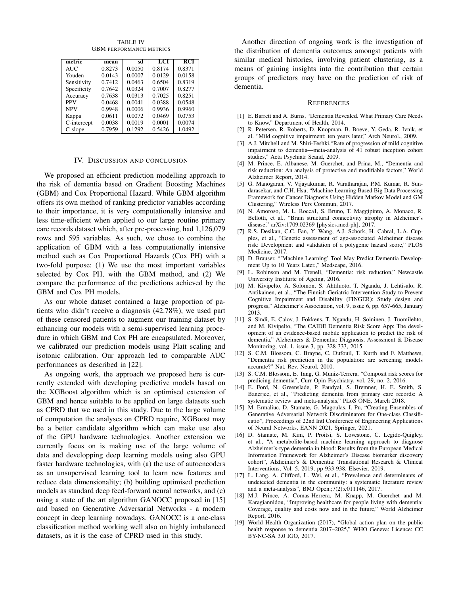TABLE IV GBM PERFORMANCE METRICS

| metric      | mean   | sd     | LCI    | $\overline{RCI}$ |
|-------------|--------|--------|--------|------------------|
| <b>AUC</b>  | 0.8273 | 0.0050 | 0.8174 | 0.8371           |
| Youden      | 0.0143 | 0.0007 | 0.0129 | 0.0158           |
| Sensitivity | 0.7412 | 0.0463 | 0.6504 | 0.8319           |
| Specificity | 0.7642 | 0.0324 | 0.7007 | 0.8277           |
| Accuracy    | 0.7638 | 0.0313 | 0.7025 | 0.8251           |
| <b>PPV</b>  | 0.0468 | 0.0041 | 0.0388 | 0.0548           |
| <b>NPV</b>  | 0.9948 | 0.0006 | 0.9936 | 0.9960           |
| Kappa       | 0.0611 | 0.0072 | 0.0469 | 0.0753           |
| C-intercept | 0.0038 | 0.0019 | 0.0001 | 0.0074           |
| C-slope     | 0.7959 | 0.1292 | 0.5426 | 1.0492           |

#### IV. DISCUSSION AND CONCLUSION

We proposed an efficient prediction modelling approach to the risk of dementia based on Gradient Boosting Machines (GBM) and Cox Proportional Hazard. While GBM algorithm offers its own method of ranking predictor variables according to their importance, it is very computationally intensive and less time-efficient when applied to our large routine primary care records dataset which, after pre-processing, had 1,126,079 rows and 595 variables. As such, we chose to combine the application of GBM with a less computationally intensive method such as Cox Proportional Hazards (Cox PH) with a two-fold purpose: (1) We use the most important variables selected by Cox PH, with the GBM method, and (2) We compare the performance of the predictions achieved by the GBM and Cox PH models.

As our whole dataset contained a large proportion of patients who didn't receive a diagnosis (42.78%), we used part of these censored patients to augment our training dataset by enhancing our models with a semi-supervised learning procedure in which GBM and Cox PH are encapsulated. Moreover, we calibrated our prediction models using Platt scaling and isotonic calibration. Our approach led to comparable AUC performances as described in [22].

As ongoing work, the approach we proposed here is currently extended with developing predictive models based on the XGBoost algorithm which is an optimised extension of GBM and hence suitable to be applied on large datasets such as CPRD that we used in this study. Due to the large volume of computation the analyses on CPRD require, XGBoost may be a better candidate algorithm which can make use also of the GPU hardware technologies. Another extension we currently focus on is making use of the large volume of data and developping deep learning models using also GPU faster hardware technologies, with (a) the use of autoencoders as an unsupervised learning tool to learn new features and reduce data dimensionality; (b) building optimised prediction models as standard deep feed-forward neural networks, and (c) using a state of the art algorithm GANOCC proposed in [15] and based on Generative Adversarial Networks - a modern concept in deep learning nowadays. GANOCC is a one-class classification method working well also on highly imbalanced datasets, as it is the case of CPRD used in this study.

Another direction of ongoing work is the investigation of the distribution of dementia outcomes amongst patients with similar medical histories, involving patient clustering, as a means of gaining insights into the contribution that certain groups of predictors may have on the prediction of risk of dementia.

#### **REFERENCES**

- [1] E. Barrett and A. Burns, "Dementia Revealed. What Primary Care Needs to Know," Department of Health, 2014.
- [2] R. Petersen, R. Roberts, D. Knopman, B. Boeve, Y. Geda, R. Ivnik, et al. "Mild cognitive impairment: ten years later," Arch Neurol., 2009.
- [3] A.J. Mitchell and M. Shiri-Feshki,"Rate of progression of mild cognitive impairment to dementia—meta-analysis of 41 robust inception cohort studies," Acta Psychiatr Scand, 2009.
- [4] M. Prince, E. Albanese, M. Guerchet, and Prina, M., "Dementia and risk reduction: An analysis of protective and modifiable factors," World Alzheimer Report, 2014.
- [5] G. Manogaran, V. Vijayakumar, R. Varatharajan, P.M. Kumar, R. Sundarasekar, and C.H. Hsu, "Machine Learning Based Big Data Processing Framework for Cancer Diagnosis Using Hidden Markov Model and GM Clustering," Wireless Pers Commun, 2017.
- [6] N. Amoroso, M. L. Rocca1, S. Bruno, T. Maggipinto, A. Monaco, R. Bellotti, et al., "Brain structural connectivity atrophy in Alzheimer's disease," arXiv:1709.02369 [physics.med-ph], 2017.
- [7] R.S. Desikan, C.C. Fan, Y. Wang, A.J. Schork, H. Cabral, L.A. Cupples, et al., "Genetic assessment of age-associated Alzheimer disease risk: Development and validation of a polygenic hazard score," PLOS Medicine, 2017.
- [8] D. Brauser, "'Machine Learning' Tool May Predict Dementia Development Up to 10 Years Later.," Medscape, 2016.
- [9] L. Robinson and M. Trenell, "Dementia: risk reduction," Newcastle University Institurte of Ageing, 2016.
- [10] M. Kivipelto, A. Solomon, S. Ahtiluoto, T. Ngandu, J. Lehtisalo, R. Antikainen, et al., "The Finnish Geriatric Intervention Study to Prevent Cognitive Impairment and Disability (FINGER): Study design and progress," Alzheimer's Association, vol. 9, issue 6, pp. 657-665, January 2013.
- [11] S. Sindi, E. Calov, J. Fokkens, T. Ngandu, H. Soininen, J. Tuomilehto, and M. Kivipelto, "The CAIDE Dementia Risk Score App: The development of an evidence-based mobile application to predict the risk of dementia," Alzheimers & Dementia: Diagnosis, Assessment & Disease Monitoring, vol. 1, issue 3, pp. 328-333, 2015.
- [12] S. C.M. Blossom, C. Brayne, C. Dufouil, T. Kurth and F. Matthews, "Dementia risk prediction in the population: are screening models accurate?" Nat. Rev. Neurol, 2010.
- [13] S. C.M. Blossom, E. Tang, G. Muniz-Terrera, "Composit risk scores for predicing dementia", Curr Opin Psychiatry, vol. 29, no. 2, 2016.
- [14] E. Ford, N. Greenslade, P. Paudyal, S. Bremner, H. E. Smith, S. Banerjee, et al., "Predicting dementia from primary care records: A systematic review and meta-analysis," PLoS ONE, March 2018.
- [15] M. Ermaliuc, D. Stamate, G. Magoulas, I. Pu, "Creating Ensembles of Generative Adversarial Network Discriminators for One-class Classificatio", Proceedings of 22nd Intl Conference of Engineering Applications of Neural Networks, EANN 2021, Springer, 2021.
- [16] D. Stamate, M. Kim, P. Proitsi, S. Lovestone, C. Legido-Quigley, et al., "A metabolite-based machine learning approach to diagnose Alzheimer's-type dementia in blood: Results from the European Medical Information Framework for Alzheimer's Disease biomarker discovery cohort", Alzheimer's & Dementia: Translational Research & Clinical Interventions, Vol. 5, 2019, pp 933-938, Elsevier, 2019.
- [17] L. Lang, A. Clifford, L. Wei, et al., "Prevalence and determinants of undetected dementia in the community: a systematic literature review and a meta-analysis", BMJ Open.;7(2):e011146, 2017.
- [18] M.J. Prince, A. Comas-Herrera, M. Knapp, M. Guerchet and M. Karagiannidou, "Improving healthcare for people living with dementia: Coverage, quality and costs now and in the future," World Alzheimer Report, 2016.
- [19] World Health Organization (2017), "Global action plan on the public health response to dementia 2017–2025," WHO Geneva: Licence: CC BY-NC-SA 3.0 IGO, 2017.